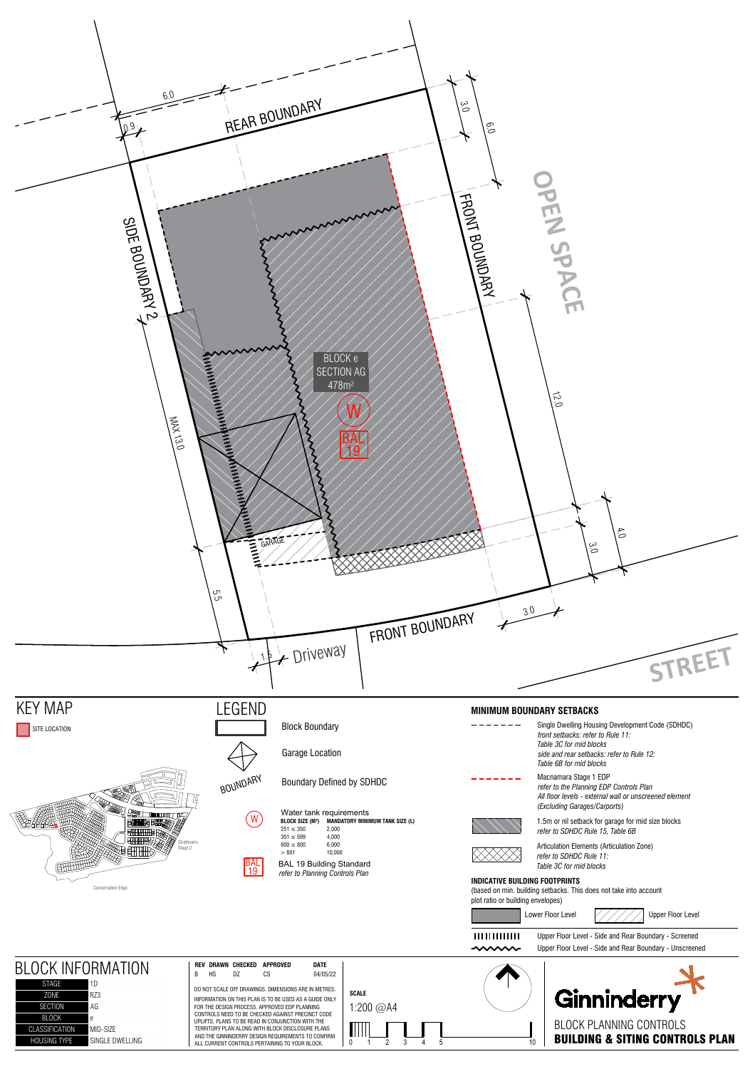